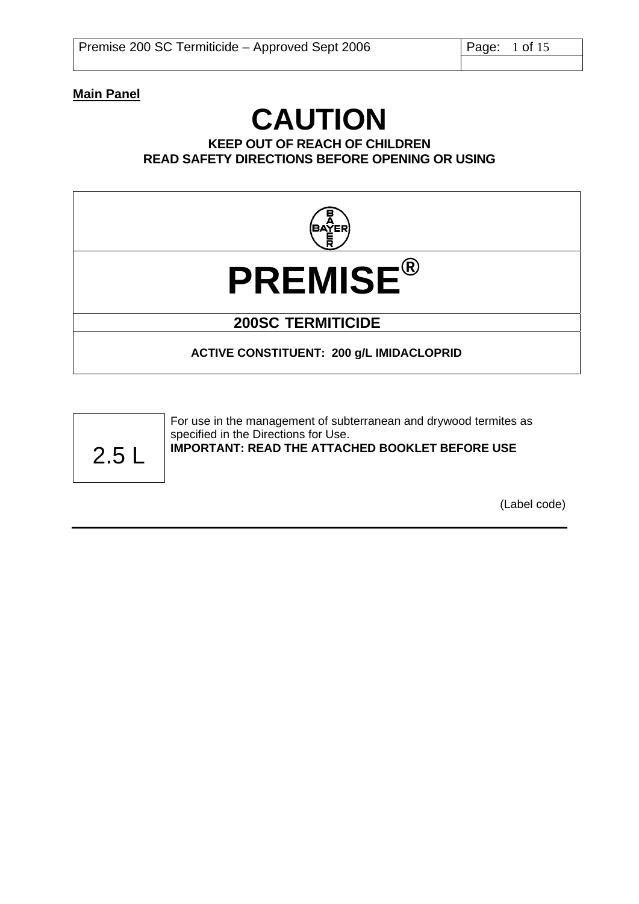## **Main Panel**

# **CAUTION**

**KEEP OUT OF REACH OF CHILDREN READ SAFETY DIRECTIONS BEFORE OPENING OR USING** 





For use in the management of subterranean and drywood termites as specified in the Directions for Use.

**IMPORTANT: READ THE ATTACHED BOOKLET BEFORE USE**

(Label code)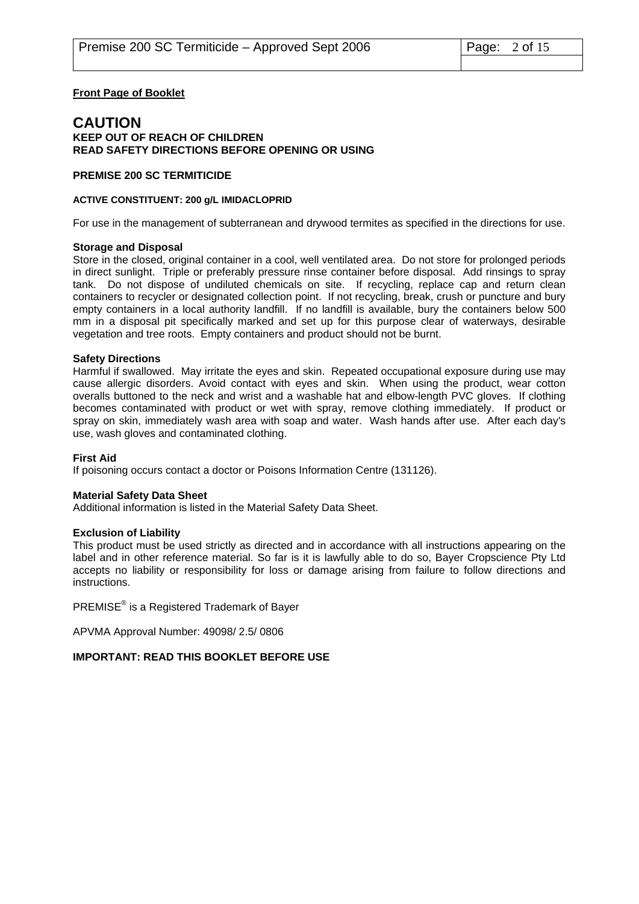## **Front Page of Booklet**

## **CAUTION KEEP OUT OF REACH OF CHILDREN READ SAFETY DIRECTIONS BEFORE OPENING OR USING**

#### **PREMISE 200 SC TERMITICIDE**

#### **ACTIVE CONSTITUENT: 200 g/L IMIDACLOPRID**

For use in the management of subterranean and drywood termites as specified in the directions for use.

#### **Storage and Disposal**

Store in the closed, original container in a cool, well ventilated area. Do not store for prolonged periods in direct sunlight. Triple or preferably pressure rinse container before disposal. Add rinsings to spray tank. Do not dispose of undiluted chemicals on site. If recycling, replace cap and return clean containers to recycler or designated collection point. If not recycling, break, crush or puncture and bury empty containers in a local authority landfill. If no landfill is available, bury the containers below 500 mm in a disposal pit specifically marked and set up for this purpose clear of waterways, desirable vegetation and tree roots. Empty containers and product should not be burnt.

#### **Safety Directions**

Harmful if swallowed. May irritate the eyes and skin. Repeated occupational exposure during use may cause allergic disorders. Avoid contact with eyes and skin. When using the product, wear cotton overalls buttoned to the neck and wrist and a washable hat and elbow-length PVC gloves. If clothing becomes contaminated with product or wet with spray, remove clothing immediately. If product or spray on skin, immediately wash area with soap and water. Wash hands after use. After each day's use, wash gloves and contaminated clothing.

#### **First Aid**

If poisoning occurs contact a doctor or Poisons Information Centre (131126).

#### **Material Safety Data Sheet**

Additional information is listed in the Material Safety Data Sheet.

#### **Exclusion of Liability**

This product must be used strictly as directed and in accordance with all instructions appearing on the label and in other reference material. So far is it is lawfully able to do so, Bayer Cropscience Pty Ltd accepts no liability or responsibility for loss or damage arising from failure to follow directions and instructions.

PREMISE<sup>®</sup> is a Registered Trademark of Bayer

APVMA Approval Number: 49098/ 2.5/ 0806

#### **IMPORTANT: READ THIS BOOKLET BEFORE USE**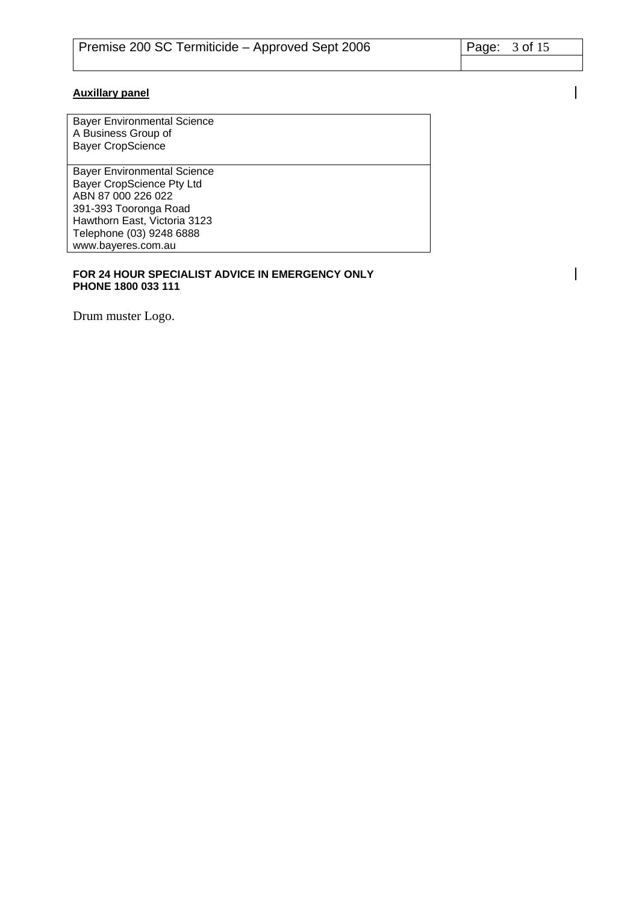| Premise 200 SC Termiticide – Approved Sept 2006 |  |
|-------------------------------------------------|--|
|-------------------------------------------------|--|

## **Auxillary panel**

| <b>Bayer Environmental Science</b><br>A Business Group of<br><b>Bayer CropScience</b>                                                                                                            |
|--------------------------------------------------------------------------------------------------------------------------------------------------------------------------------------------------|
| <b>Bayer Environmental Science</b><br>Bayer CropScience Pty Ltd<br>ABN 87 000 226 022<br>391-393 Tooronga Road<br>Hawthorn East, Victoria 3123<br>Telephone (03) 9248 6888<br>www.bayeres.com.au |
|                                                                                                                                                                                                  |

## **FOR 24 HOUR SPECIALIST ADVICE IN EMERGENCY ONLY PHONE 1800 033 111**

Drum muster Logo.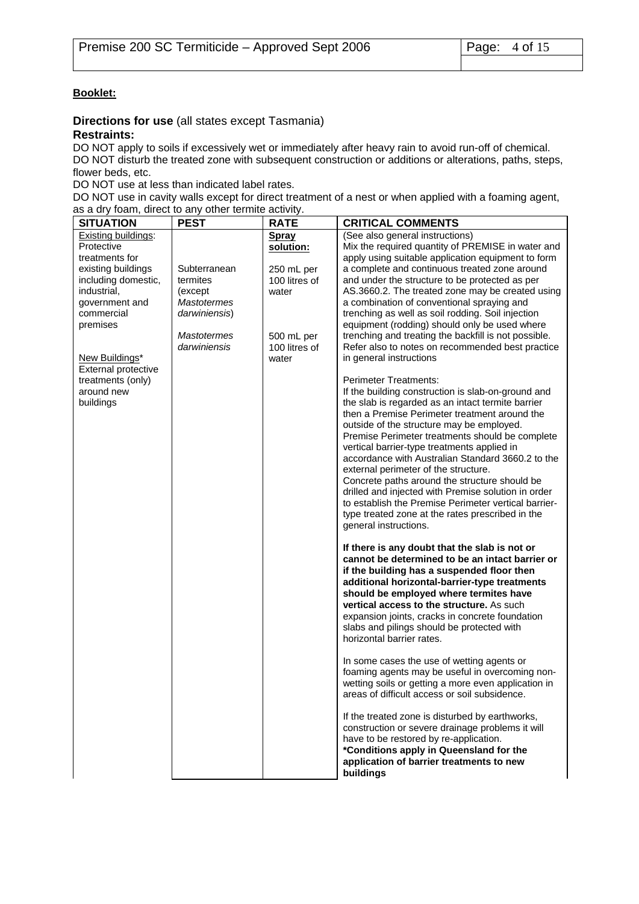## **Booklet:**

## **Directions for use** (all states except Tasmania)

## **Restraints:**

DO NOT apply to soils if excessively wet or immediately after heavy rain to avoid run-off of chemical. DO NOT disturb the treated zone with subsequent construction or additions or alterations, paths, steps, flower beds, etc.

DO NOT use at less than indicated label rates.

DO NOT use in cavity walls except for direct treatment of a nest or when applied with a foaming agent, as a dry foam, direct to any other termite activity.

| <b>SITUATION</b>                                                                                                                                                                                                                                     | <b>PEST</b>                                                                                                       | <b>RATE</b>                                                                                               | <b>CRITICAL COMMENTS</b>                                                                                                                                                                                                                                                                                                                                                                                                                                                                                                                                                                                                                                                                                                                                                                                                                                                                                                                                                                                                                                                                                                                                                                                                                                                                                                                                                                                                                                                                                                                                                                                                                                                                                                                                                                                                                                                                                                                                                                                                                                                                                       |
|------------------------------------------------------------------------------------------------------------------------------------------------------------------------------------------------------------------------------------------------------|-------------------------------------------------------------------------------------------------------------------|-----------------------------------------------------------------------------------------------------------|----------------------------------------------------------------------------------------------------------------------------------------------------------------------------------------------------------------------------------------------------------------------------------------------------------------------------------------------------------------------------------------------------------------------------------------------------------------------------------------------------------------------------------------------------------------------------------------------------------------------------------------------------------------------------------------------------------------------------------------------------------------------------------------------------------------------------------------------------------------------------------------------------------------------------------------------------------------------------------------------------------------------------------------------------------------------------------------------------------------------------------------------------------------------------------------------------------------------------------------------------------------------------------------------------------------------------------------------------------------------------------------------------------------------------------------------------------------------------------------------------------------------------------------------------------------------------------------------------------------------------------------------------------------------------------------------------------------------------------------------------------------------------------------------------------------------------------------------------------------------------------------------------------------------------------------------------------------------------------------------------------------------------------------------------------------------------------------------------------------|
| Existing buildings:<br>Protective<br>treatments for<br>existing buildings<br>including domestic,<br>industrial,<br>government and<br>commercial<br>premises<br>New Buildings*<br>External protective<br>treatments (only)<br>around new<br>buildings | Subterranean<br>termites<br>(except)<br><b>Mastotermes</b><br>darwiniensis)<br><b>Mastotermes</b><br>darwiniensis | <b>Spray</b><br>solution:<br>250 mL per<br>100 litres of<br>water<br>500 mL per<br>100 litres of<br>water | (See also general instructions)<br>Mix the required quantity of PREMISE in water and<br>apply using suitable application equipment to form<br>a complete and continuous treated zone around<br>and under the structure to be protected as per<br>AS.3660.2. The treated zone may be created using<br>a combination of conventional spraying and<br>trenching as well as soil rodding. Soil injection<br>equipment (rodding) should only be used where<br>trenching and treating the backfill is not possible.<br>Refer also to notes on recommended best practice<br>in general instructions<br><b>Perimeter Treatments:</b><br>If the building construction is slab-on-ground and<br>the slab is regarded as an intact termite barrier<br>then a Premise Perimeter treatment around the<br>outside of the structure may be employed.<br>Premise Perimeter treatments should be complete<br>vertical barrier-type treatments applied in<br>accordance with Australian Standard 3660.2 to the<br>external perimeter of the structure.<br>Concrete paths around the structure should be<br>drilled and injected with Premise solution in order<br>to establish the Premise Perimeter vertical barrier-<br>type treated zone at the rates prescribed in the<br>general instructions.<br>If there is any doubt that the slab is not or<br>cannot be determined to be an intact barrier or<br>if the building has a suspended floor then<br>additional horizontal-barrier-type treatments<br>should be employed where termites have<br>vertical access to the structure. As such<br>expansion joints, cracks in concrete foundation<br>slabs and pilings should be protected with<br>horizontal barrier rates.<br>In some cases the use of wetting agents or<br>foaming agents may be useful in overcoming non-<br>wetting soils or getting a more even application in<br>areas of difficult access or soil subsidence.<br>If the treated zone is disturbed by earthworks,<br>construction or severe drainage problems it will<br>have to be restored by re-application.<br>*Conditions apply in Queensland for the |
|                                                                                                                                                                                                                                                      |                                                                                                                   |                                                                                                           | application of barrier treatments to new<br>buildings                                                                                                                                                                                                                                                                                                                                                                                                                                                                                                                                                                                                                                                                                                                                                                                                                                                                                                                                                                                                                                                                                                                                                                                                                                                                                                                                                                                                                                                                                                                                                                                                                                                                                                                                                                                                                                                                                                                                                                                                                                                          |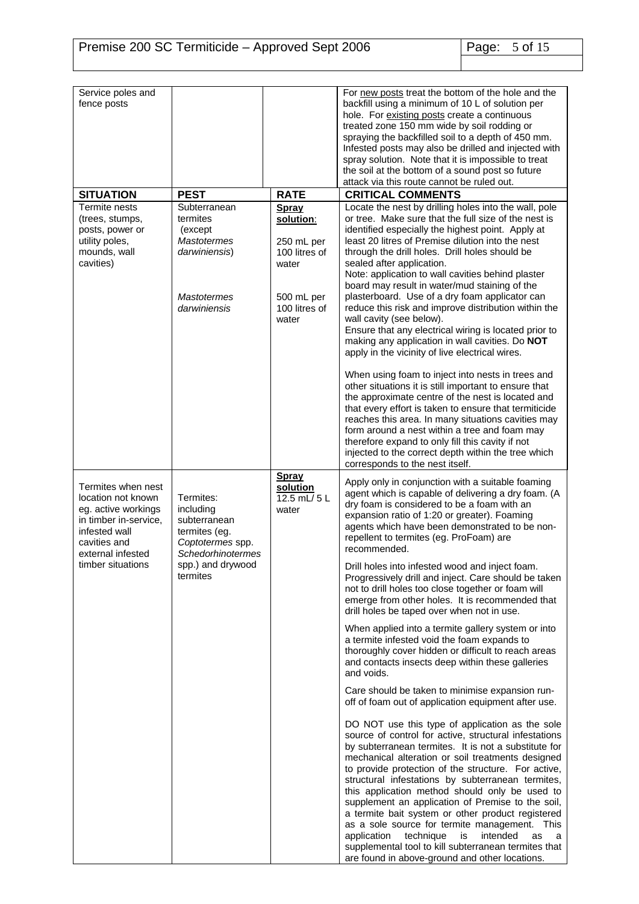| Service poles and<br>fence posts                                                                                                                                    |                                                                                                                                          |                                                                                                           | For new posts treat the bottom of the hole and the<br>backfill using a minimum of 10 L of solution per<br>hole. For existing posts create a continuous<br>treated zone 150 mm wide by soil rodding or<br>spraying the backfilled soil to a depth of 450 mm.<br>Infested posts may also be drilled and injected with<br>spray solution. Note that it is impossible to treat<br>the soil at the bottom of a sound post so future<br>attack via this route cannot be ruled out.                                                                                                                                                                                                                                                                                                                                                                                                                                                                                                                                                                                                                                                                                                                                                                                                                                                                                                                                                                                                                                                                                                                             |
|---------------------------------------------------------------------------------------------------------------------------------------------------------------------|------------------------------------------------------------------------------------------------------------------------------------------|-----------------------------------------------------------------------------------------------------------|----------------------------------------------------------------------------------------------------------------------------------------------------------------------------------------------------------------------------------------------------------------------------------------------------------------------------------------------------------------------------------------------------------------------------------------------------------------------------------------------------------------------------------------------------------------------------------------------------------------------------------------------------------------------------------------------------------------------------------------------------------------------------------------------------------------------------------------------------------------------------------------------------------------------------------------------------------------------------------------------------------------------------------------------------------------------------------------------------------------------------------------------------------------------------------------------------------------------------------------------------------------------------------------------------------------------------------------------------------------------------------------------------------------------------------------------------------------------------------------------------------------------------------------------------------------------------------------------------------|
| <b>SITUATION</b>                                                                                                                                                    | <b>PEST</b>                                                                                                                              | <b>RATE</b>                                                                                               | <b>CRITICAL COMMENTS</b>                                                                                                                                                                                                                                                                                                                                                                                                                                                                                                                                                                                                                                                                                                                                                                                                                                                                                                                                                                                                                                                                                                                                                                                                                                                                                                                                                                                                                                                                                                                                                                                 |
| Termite nests<br>(trees, stumps,<br>posts, power or<br>utility poles,<br>mounds, wall<br>cavities)                                                                  | Subterranean<br>termites<br>(except<br><b>Mastotermes</b><br>darwiniensis)<br><b>Mastotermes</b><br>darwiniensis                         | <b>Spray</b><br>solution:<br>250 mL per<br>100 litres of<br>water<br>500 mL per<br>100 litres of<br>water | Locate the nest by drilling holes into the wall, pole<br>or tree. Make sure that the full size of the nest is<br>identified especially the highest point. Apply at<br>least 20 litres of Premise dilution into the nest<br>through the drill holes. Drill holes should be<br>sealed after application.<br>Note: application to wall cavities behind plaster<br>board may result in water/mud staining of the<br>plasterboard. Use of a dry foam applicator can<br>reduce this risk and improve distribution within the<br>wall cavity (see below).<br>Ensure that any electrical wiring is located prior to<br>making any application in wall cavities. Do NOT<br>apply in the vicinity of live electrical wires.                                                                                                                                                                                                                                                                                                                                                                                                                                                                                                                                                                                                                                                                                                                                                                                                                                                                                        |
|                                                                                                                                                                     |                                                                                                                                          |                                                                                                           | When using foam to inject into nests in trees and<br>other situations it is still important to ensure that<br>the approximate centre of the nest is located and<br>that every effort is taken to ensure that termiticide<br>reaches this area. In many situations cavities may<br>form around a nest within a tree and foam may<br>therefore expand to only fill this cavity if not<br>injected to the correct depth within the tree which<br>corresponds to the nest itself.                                                                                                                                                                                                                                                                                                                                                                                                                                                                                                                                                                                                                                                                                                                                                                                                                                                                                                                                                                                                                                                                                                                            |
| Termites when nest<br>location not known<br>eg. active workings<br>in timber in-service,<br>infested wall<br>cavities and<br>external infested<br>timber situations | Termites:<br>including<br>subterranean<br>termites (eg.<br>Coptotermes spp.<br><b>Schedorhinotermes</b><br>spp.) and drywood<br>termites | <b>Spray</b><br>solution<br>$\overline{12.5 \text{ mL}}$ 5 L<br>water                                     | Apply only in conjunction with a suitable foaming<br>agent which is capable of delivering a dry foam. (A<br>dry foam is considered to be a foam with an<br>expansion ratio of 1:20 or greater). Foaming<br>agents which have been demonstrated to be non-<br>repellent to termites (eg. ProFoam) are<br>recommended.<br>Drill holes into infested wood and inject foam.<br>Progressively drill and inject. Care should be taken<br>not to drill holes too close together or foam will<br>emerge from other holes. It is recommended that<br>drill holes be taped over when not in use.<br>When applied into a termite gallery system or into<br>a termite infested void the foam expands to<br>thoroughly cover hidden or difficult to reach areas<br>and contacts insects deep within these galleries<br>and voids.<br>Care should be taken to minimise expansion run-<br>off of foam out of application equipment after use.<br>DO NOT use this type of application as the sole<br>source of control for active, structural infestations<br>by subterranean termites. It is not a substitute for<br>mechanical alteration or soil treatments designed<br>to provide protection of the structure. For active,<br>structural infestations by subterranean termites,<br>this application method should only be used to<br>supplement an application of Premise to the soil,<br>a termite bait system or other product registered<br>as a sole source for termite management. This<br>technique<br>intended<br>application<br>is<br><b>as</b><br>a<br>supplemental tool to kill subterranean termites that |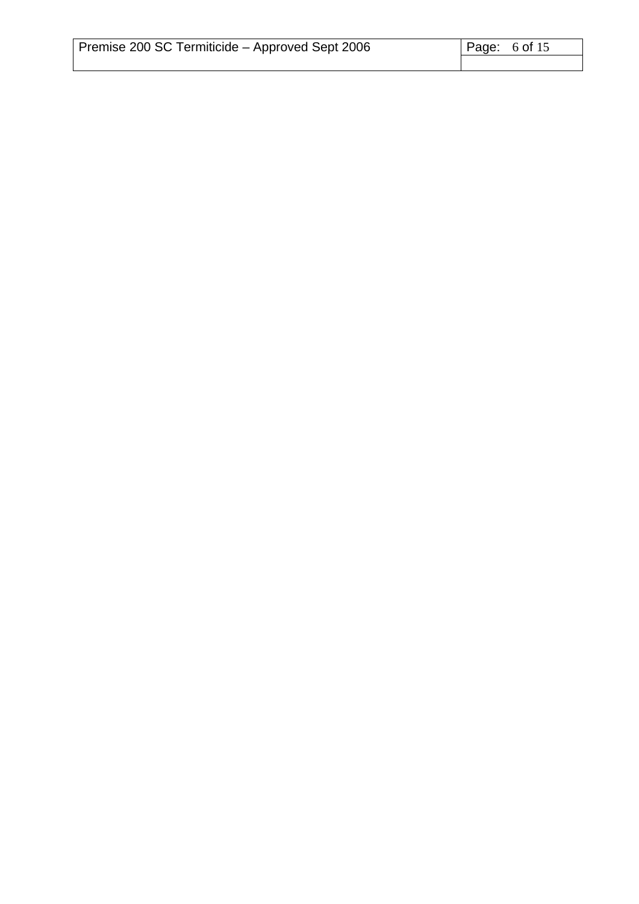| Premise 200 SC Termiticide - Approved Sept 2006 | Page: $6$ of 15 |  |
|-------------------------------------------------|-----------------|--|
|                                                 |                 |  |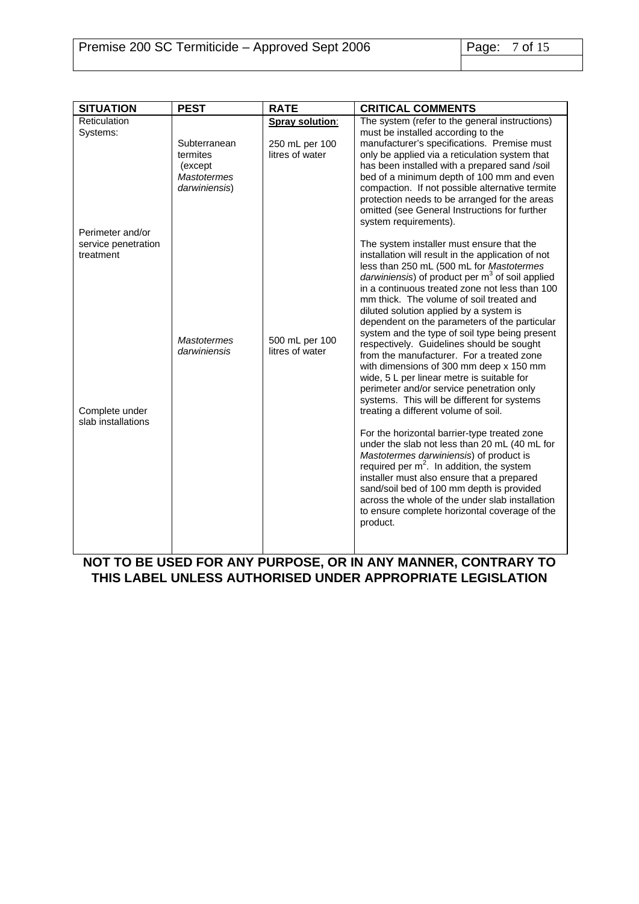| <b>SITUATION</b>                     | <b>PEST</b>                                                                | <b>RATE</b>                       | <b>CRITICAL COMMENTS</b>                                                                                                                                                                                                                                                                                                                                                                                                                     |
|--------------------------------------|----------------------------------------------------------------------------|-----------------------------------|----------------------------------------------------------------------------------------------------------------------------------------------------------------------------------------------------------------------------------------------------------------------------------------------------------------------------------------------------------------------------------------------------------------------------------------------|
| Reticulation<br>Systems:             |                                                                            | Spray solution:                   | The system (refer to the general instructions)<br>must be installed according to the                                                                                                                                                                                                                                                                                                                                                         |
| Perimeter and/or                     | Subterranean<br>termites<br>(except<br><b>Mastotermes</b><br>darwiniensis) | 250 mL per 100<br>litres of water | manufacturer's specifications. Premise must<br>only be applied via a reticulation system that<br>has been installed with a prepared sand /soil<br>bed of a minimum depth of 100 mm and even<br>compaction. If not possible alternative termite<br>protection needs to be arranged for the areas<br>omitted (see General Instructions for further<br>system requirements).                                                                    |
| service penetration<br>treatment     |                                                                            |                                   | The system installer must ensure that the<br>installation will result in the application of not<br>less than 250 mL (500 mL for Mastotermes<br>darwiniensis) of product per $m3$ of soil applied<br>in a continuous treated zone not less than 100<br>mm thick. The volume of soil treated and<br>diluted solution applied by a system is<br>dependent on the parameters of the particular<br>system and the type of soil type being present |
| Complete under<br>slab installations | <b>Mastotermes</b><br>darwiniensis                                         | 500 mL per 100<br>litres of water | respectively. Guidelines should be sought<br>from the manufacturer. For a treated zone<br>with dimensions of 300 mm deep x 150 mm<br>wide, 5 L per linear metre is suitable for<br>perimeter and/or service penetration only<br>systems. This will be different for systems<br>treating a different volume of soil.                                                                                                                          |
|                                      |                                                                            |                                   | For the horizontal barrier-type treated zone<br>under the slab not less than 20 mL (40 mL for<br>Mastotermes darwiniensis) of product is<br>required per $m^2$ . In addition, the system<br>installer must also ensure that a prepared<br>sand/soil bed of 100 mm depth is provided<br>across the whole of the under slab installation<br>to ensure complete horizontal coverage of the<br>product.                                          |

**NOT TO BE USED FOR ANY PURPOSE, OR IN ANY MANNER, CONTRARY TO THIS LABEL UNLESS AUTHORISED UNDER APPROPRIATE LEGISLATION**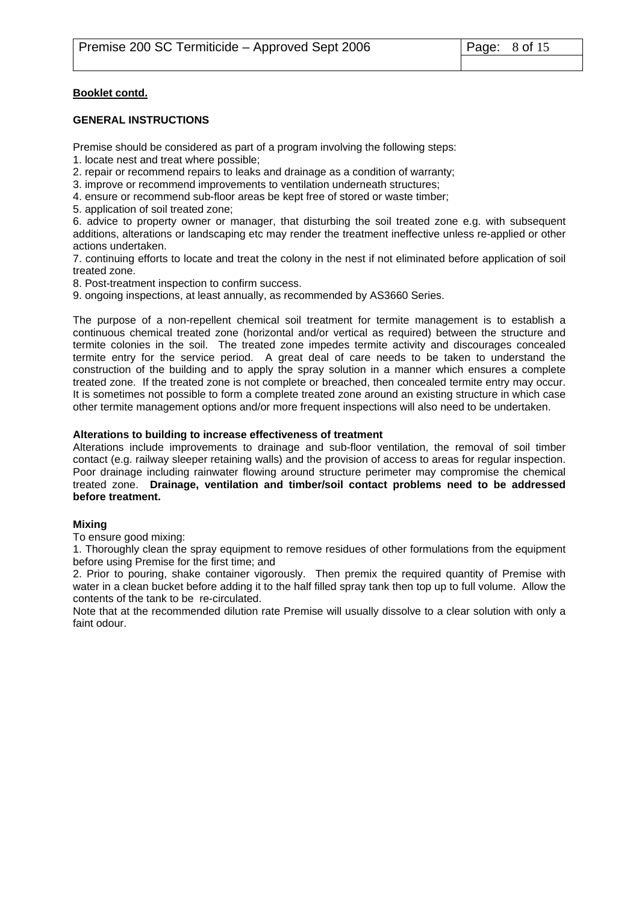#### **GENERAL INSTRUCTIONS**

Premise should be considered as part of a program involving the following steps:

- 1. locate nest and treat where possible;
- 2. repair or recommend repairs to leaks and drainage as a condition of warranty;

3. improve or recommend improvements to ventilation underneath structures;

- 4. ensure or recommend sub-floor areas be kept free of stored or waste timber;
- 5. application of soil treated zone;

6. advice to property owner or manager, that disturbing the soil treated zone e.g. with subsequent additions, alterations or landscaping etc may render the treatment ineffective unless re-applied or other actions undertaken.

7. continuing efforts to locate and treat the colony in the nest if not eliminated before application of soil treated zone.

8. Post-treatment inspection to confirm success.

9. ongoing inspections, at least annually, as recommended by AS3660 Series.

The purpose of a non-repellent chemical soil treatment for termite management is to establish a continuous chemical treated zone (horizontal and/or vertical as required) between the structure and termite colonies in the soil. The treated zone impedes termite activity and discourages concealed termite entry for the service period. A great deal of care needs to be taken to understand the construction of the building and to apply the spray solution in a manner which ensures a complete treated zone. If the treated zone is not complete or breached, then concealed termite entry may occur. It is sometimes not possible to form a complete treated zone around an existing structure in which case other termite management options and/or more frequent inspections will also need to be undertaken.

#### **Alterations to building to increase effectiveness of treatment**

Alterations include improvements to drainage and sub-floor ventilation, the removal of soil timber contact (e.g. railway sleeper retaining walls) and the provision of access to areas for regular inspection. Poor drainage including rainwater flowing around structure perimeter may compromise the chemical treated zone. **Drainage, ventilation and timber/soil contact problems need to be addressed before treatment.**

#### **Mixing**

To ensure good mixing:

1. Thoroughly clean the spray equipment to remove residues of other formulations from the equipment before using Premise for the first time; and

2. Prior to pouring, shake container vigorously. Then premix the required quantity of Premise with water in a clean bucket before adding it to the half filled spray tank then top up to full volume. Allow the contents of the tank to be re-circulated.

Note that at the recommended dilution rate Premise will usually dissolve to a clear solution with only a faint odour.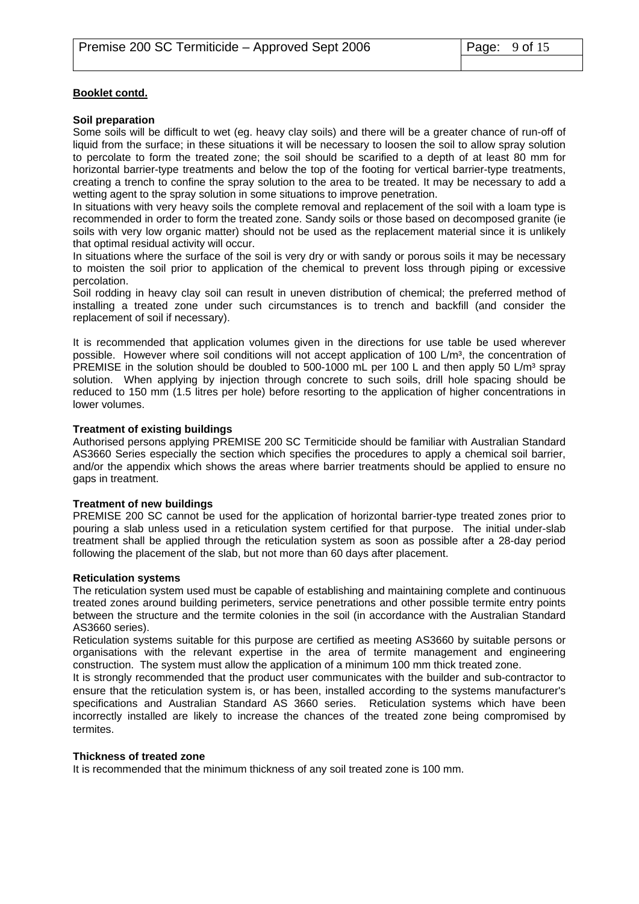#### **Soil preparation**

Some soils will be difficult to wet (eg. heavy clay soils) and there will be a greater chance of run-off of liquid from the surface; in these situations it will be necessary to loosen the soil to allow spray solution to percolate to form the treated zone; the soil should be scarified to a depth of at least 80 mm for horizontal barrier-type treatments and below the top of the footing for vertical barrier-type treatments, creating a trench to confine the spray solution to the area to be treated. It may be necessary to add a wetting agent to the spray solution in some situations to improve penetration.

In situations with very heavy soils the complete removal and replacement of the soil with a loam type is recommended in order to form the treated zone. Sandy soils or those based on decomposed granite (ie soils with very low organic matter) should not be used as the replacement material since it is unlikely that optimal residual activity will occur.

In situations where the surface of the soil is very dry or with sandy or porous soils it may be necessary to moisten the soil prior to application of the chemical to prevent loss through piping or excessive percolation.

Soil rodding in heavy clay soil can result in uneven distribution of chemical; the preferred method of installing a treated zone under such circumstances is to trench and backfill (and consider the replacement of soil if necessary).

It is recommended that application volumes given in the directions for use table be used wherever possible. However where soil conditions will not accept application of 100  $\text{L/m}^3$ , the concentration of PREMISE in the solution should be doubled to 500-1000 mL per 100 L and then apply 50 L/m<sup>3</sup> spray solution. When applying by injection through concrete to such soils, drill hole spacing should be reduced to 150 mm (1.5 litres per hole) before resorting to the application of higher concentrations in lower volumes.

#### **Treatment of existing buildings**

Authorised persons applying PREMISE 200 SC Termiticide should be familiar with Australian Standard AS3660 Series especially the section which specifies the procedures to apply a chemical soil barrier, and/or the appendix which shows the areas where barrier treatments should be applied to ensure no gaps in treatment.

#### **Treatment of new buildings**

PREMISE 200 SC cannot be used for the application of horizontal barrier-type treated zones prior to pouring a slab unless used in a reticulation system certified for that purpose. The initial under-slab treatment shall be applied through the reticulation system as soon as possible after a 28-day period following the placement of the slab, but not more than 60 days after placement.

#### **Reticulation systems**

The reticulation system used must be capable of establishing and maintaining complete and continuous treated zones around building perimeters, service penetrations and other possible termite entry points between the structure and the termite colonies in the soil (in accordance with the Australian Standard AS3660 series).

Reticulation systems suitable for this purpose are certified as meeting AS3660 by suitable persons or organisations with the relevant expertise in the area of termite management and engineering construction. The system must allow the application of a minimum 100 mm thick treated zone.

It is strongly recommended that the product user communicates with the builder and sub-contractor to ensure that the reticulation system is, or has been, installed according to the systems manufacturer's specifications and Australian Standard AS 3660 series. Reticulation systems which have been incorrectly installed are likely to increase the chances of the treated zone being compromised by termites.

#### **Thickness of treated zone**

It is recommended that the minimum thickness of any soil treated zone is 100 mm.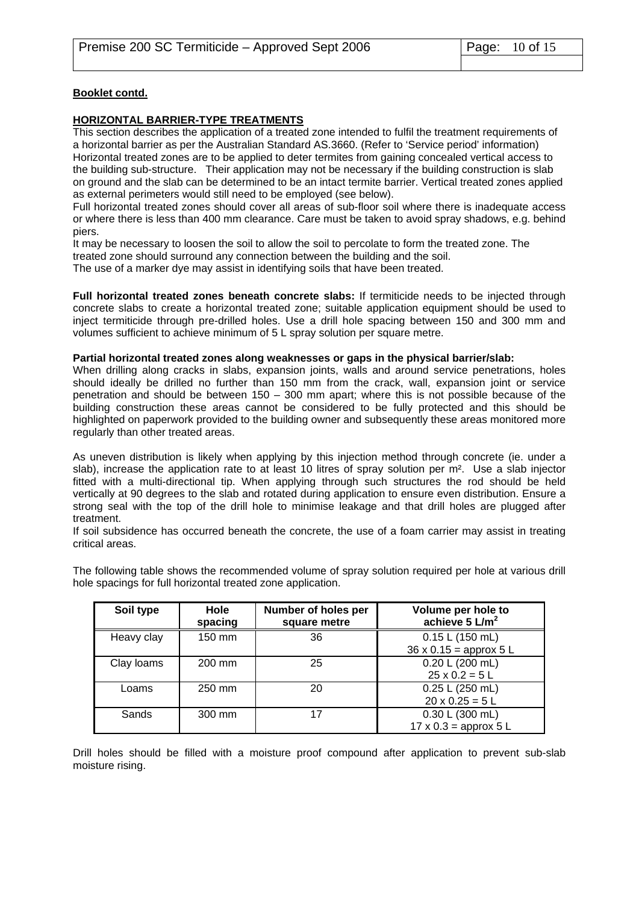#### **HORIZONTAL BARRIER-TYPE TREATMENTS**

This section describes the application of a treated zone intended to fulfil the treatment requirements of a horizontal barrier as per the Australian Standard AS.3660. (Refer to 'Service period' information) Horizontal treated zones are to be applied to deter termites from gaining concealed vertical access to the building sub-structure. Their application may not be necessary if the building construction is slab on ground and the slab can be determined to be an intact termite barrier. Vertical treated zones applied as external perimeters would still need to be employed (see below).

Full horizontal treated zones should cover all areas of sub-floor soil where there is inadequate access or where there is less than 400 mm clearance. Care must be taken to avoid spray shadows, e.g. behind piers.

It may be necessary to loosen the soil to allow the soil to percolate to form the treated zone. The treated zone should surround any connection between the building and the soil.

The use of a marker dye may assist in identifying soils that have been treated.

**Full horizontal treated zones beneath concrete slabs:** If termiticide needs to be injected through concrete slabs to create a horizontal treated zone; suitable application equipment should be used to inject termiticide through pre-drilled holes. Use a drill hole spacing between 150 and 300 mm and volumes sufficient to achieve minimum of 5 L spray solution per square metre.

#### **Partial horizontal treated zones along weaknesses or gaps in the physical barrier/slab:**

When drilling along cracks in slabs, expansion joints, walls and around service penetrations, holes should ideally be drilled no further than 150 mm from the crack, wall, expansion joint or service penetration and should be between  $150 - 300$  mm apart; where this is not possible because of the building construction these areas cannot be considered to be fully protected and this should be highlighted on paperwork provided to the building owner and subsequently these areas monitored more regularly than other treated areas.

As uneven distribution is likely when applying by this injection method through concrete (ie. under a slab), increase the application rate to at least 10 litres of spray solution per m². Use a slab injector fitted with a multi-directional tip. When applying through such structures the rod should be held vertically at 90 degrees to the slab and rotated during application to ensure even distribution. Ensure a strong seal with the top of the drill hole to minimise leakage and that drill holes are plugged after treatment.

If soil subsidence has occurred beneath the concrete, the use of a foam carrier may assist in treating critical areas.

The following table shows the recommended volume of spray solution required per hole at various drill hole spacings for full horizontal treated zone application.

| Soil type  | Hole<br>spacing  | Number of holes per<br>square metre | Volume per hole to<br>achieve $5 L/m2$                     |
|------------|------------------|-------------------------------------|------------------------------------------------------------|
| Heavy clay | 150 mm           | 36                                  | 0.15 L (150 mL)<br>$36 \times 0.15 =$ approx $5 \text{ L}$ |
| Clay loams | 200 mm           | 25                                  | 0.20 L (200 mL)<br>$25 \times 0.2 = 5$ L                   |
| Loams      | 250 mm           | 20                                  | 0.25 L (250 mL)<br>$20 \times 0.25 = 5$ L                  |
| Sands      | $300 \text{ mm}$ | 17                                  | 0.30 L (300 mL)<br>$17 \times 0.3$ = approx 5 L            |

Drill holes should be filled with a moisture proof compound after application to prevent sub-slab moisture rising.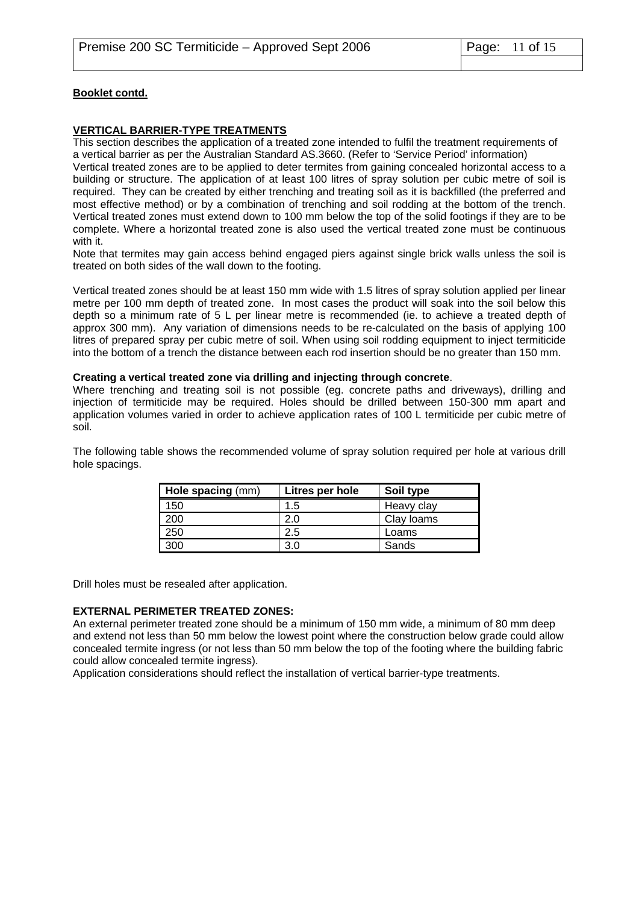#### **VERTICAL BARRIER-TYPE TREATMENTS**

This section describes the application of a treated zone intended to fulfil the treatment requirements of a vertical barrier as per the Australian Standard AS.3660. (Refer to 'Service Period' information) Vertical treated zones are to be applied to deter termites from gaining concealed horizontal access to a building or structure. The application of at least 100 litres of spray solution per cubic metre of soil is required. They can be created by either trenching and treating soil as it is backfilled (the preferred and most effective method) or by a combination of trenching and soil rodding at the bottom of the trench. Vertical treated zones must extend down to 100 mm below the top of the solid footings if they are to be complete. Where a horizontal treated zone is also used the vertical treated zone must be continuous with it.

Note that termites may gain access behind engaged piers against single brick walls unless the soil is treated on both sides of the wall down to the footing.

Vertical treated zones should be at least 150 mm wide with 1.5 litres of spray solution applied per linear metre per 100 mm depth of treated zone. In most cases the product will soak into the soil below this depth so a minimum rate of 5 L per linear metre is recommended (ie. to achieve a treated depth of approx 300 mm). Any variation of dimensions needs to be re-calculated on the basis of applying 100 litres of prepared spray per cubic metre of soil. When using soil rodding equipment to inject termiticide into the bottom of a trench the distance between each rod insertion should be no greater than 150 mm.

#### **Creating a vertical treated zone via drilling and injecting through concrete**.

Where trenching and treating soil is not possible (eg. concrete paths and driveways), drilling and injection of termiticide may be required. Holes should be drilled between 150-300 mm apart and application volumes varied in order to achieve application rates of 100 L termiticide per cubic metre of soil.

The following table shows the recommended volume of spray solution required per hole at various drill hole spacings.

| Hole spacing (mm) | Litres per hole | Soil type  |
|-------------------|-----------------|------------|
| 150               | 1.5             | Heavy clay |
| 200               | 2.0             | Clay loams |
| 250               | 2.5             | Loams      |
| 300               | 3.0             | Sands      |

Drill holes must be resealed after application.

#### **EXTERNAL PERIMETER TREATED ZONES:**

An external perimeter treated zone should be a minimum of 150 mm wide, a minimum of 80 mm deep and extend not less than 50 mm below the lowest point where the construction below grade could allow concealed termite ingress (or not less than 50 mm below the top of the footing where the building fabric could allow concealed termite ingress).

Application considerations should reflect the installation of vertical barrier-type treatments.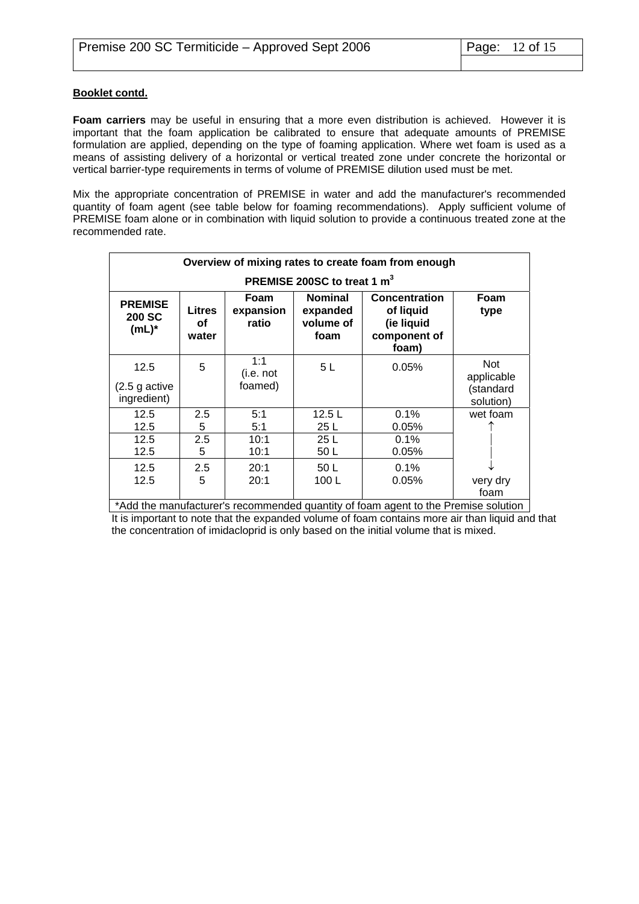**Foam carriers** may be useful in ensuring that a more even distribution is achieved. However it is important that the foam application be calibrated to ensure that adequate amounts of PREMISE formulation are applied, depending on the type of foaming application. Where wet foam is used as a means of assisting delivery of a horizontal or vertical treated zone under concrete the horizontal or vertical barrier-type requirements in terms of volume of PREMISE dilution used must be met.

Mix the appropriate concentration of PREMISE in water and add the manufacturer's recommended quantity of foam agent (see table below for foaming recommendations). Apply sufficient volume of PREMISE foam alone or in combination with liquid solution to provide a continuous treated zone at the recommended rate.

|                                             |                              |                             |                                                 | Overview of mixing rates to create foam from enough                      |                                             |
|---------------------------------------------|------------------------------|-----------------------------|-------------------------------------------------|--------------------------------------------------------------------------|---------------------------------------------|
|                                             |                              |                             | PREMISE 200SC to treat 1 m <sup>3</sup>         |                                                                          |                                             |
| <b>PREMISE</b><br><b>200 SC</b><br>$(mL)^*$ | <b>Litres</b><br>οf<br>water | Foam<br>expansion<br>ratio  | <b>Nominal</b><br>expanded<br>volume of<br>foam | <b>Concentration</b><br>of liquid<br>(ie liquid<br>component of<br>foam) | Foam<br>type                                |
| 12.5<br>$(2.5$ g active<br>ingredient)      | 5                            | 1:1<br>(i.e. not<br>foamed) | 5L                                              | 0.05%                                                                    | Not<br>applicable<br>(standard<br>solution) |
| 12.5                                        | 2.5                          | 5:1                         | 12.5L                                           | 0.1%                                                                     | wet foam                                    |
| 12.5                                        | 5                            | 5:1                         | 25 L                                            | 0.05%                                                                    |                                             |
| 12.5                                        | 2.5                          | 10:1                        | 25 L                                            | 0.1%                                                                     |                                             |
| 12.5                                        | 5                            | 10:1                        | 50L                                             | 0.05%                                                                    |                                             |
| 12.5<br>12.5                                | 2.5<br>5                     | 20:1<br>20:1                | 50 L<br>100 L                                   | 0.1%<br>0.05%                                                            | very dry<br>foam                            |

| \*Add the manufacturer's recommended quantity of foam agent to the Premise solution | It is important to note that the expanded volume of foam contains more air than liquid and that the concentration of imidacloprid is only based on the initial volume that is mixed.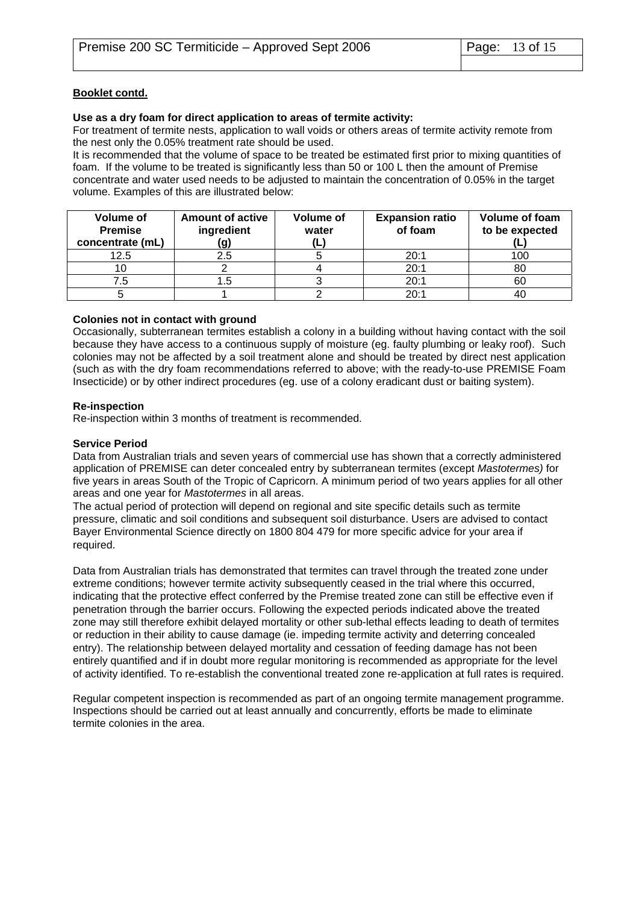#### **Use as a dry foam for direct application to areas of termite activity:**

For treatment of termite nests, application to wall voids or others areas of termite activity remote from the nest only the 0.05% treatment rate should be used.

It is recommended that the volume of space to be treated be estimated first prior to mixing quantities of foam. If the volume to be treated is significantly less than 50 or 100 L then the amount of Premise concentrate and water used needs to be adjusted to maintain the concentration of 0.05% in the target volume. Examples of this are illustrated below:

| <b>Volume of</b><br><b>Premise</b><br>concentrate (mL) | <b>Amount of active</b><br>ingredient<br>(g) | <b>Volume of</b><br>water | <b>Expansion ratio</b><br>of foam | <b>Volume of foam</b><br>to be expected |
|--------------------------------------------------------|----------------------------------------------|---------------------------|-----------------------------------|-----------------------------------------|
| 12.5                                                   |                                              |                           | 20:1                              | 100                                     |
| 1 U                                                    |                                              |                           | 20:1                              | 80                                      |
| 7.5                                                    |                                              |                           | 20:1                              | 60                                      |
|                                                        |                                              |                           | 20.1                              |                                         |

#### **Colonies not in contact with ground**

Occasionally, subterranean termites establish a colony in a building without having contact with the soil because they have access to a continuous supply of moisture (eg. faulty plumbing or leaky roof). Such colonies may not be affected by a soil treatment alone and should be treated by direct nest application (such as with the dry foam recommendations referred to above; with the ready-to-use PREMISE Foam Insecticide) or by other indirect procedures (eg. use of a colony eradicant dust or baiting system).

#### **Re-inspection**

Re-inspection within 3 months of treatment is recommended.

#### **Service Period**

Data from Australian trials and seven years of commercial use has shown that a correctly administered application of PREMISE can deter concealed entry by subterranean termites (except *Mastotermes)* for five years in areas South of the Tropic of Capricorn. A minimum period of two years applies for all other areas and one year for *Mastotermes* in all areas.

The actual period of protection will depend on regional and site specific details such as termite pressure, climatic and soil conditions and subsequent soil disturbance. Users are advised to contact Bayer Environmental Science directly on 1800 804 479 for more specific advice for your area if required.

Data from Australian trials has demonstrated that termites can travel through the treated zone under extreme conditions; however termite activity subsequently ceased in the trial where this occurred, indicating that the protective effect conferred by the Premise treated zone can still be effective even if penetration through the barrier occurs. Following the expected periods indicated above the treated zone may still therefore exhibit delayed mortality or other sub-lethal effects leading to death of termites or reduction in their ability to cause damage (ie. impeding termite activity and deterring concealed entry). The relationship between delayed mortality and cessation of feeding damage has not been entirely quantified and if in doubt more regular monitoring is recommended as appropriate for the level of activity identified. To re-establish the conventional treated zone re-application at full rates is required.

Regular competent inspection is recommended as part of an ongoing termite management programme. Inspections should be carried out at least annually and concurrently, efforts be made to eliminate termite colonies in the area.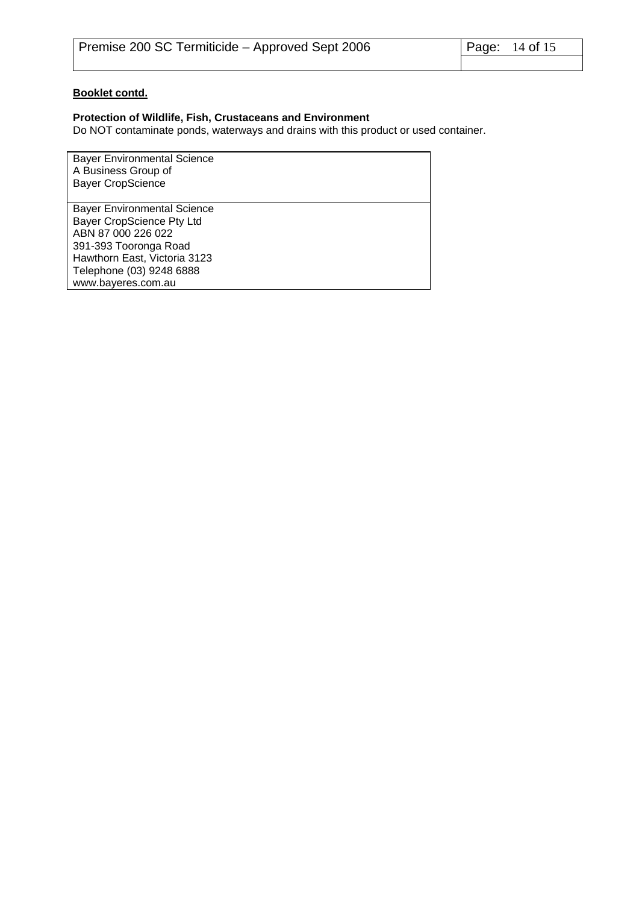## **Protection of Wildlife, Fish, Crustaceans and Environment**

Do NOT contaminate ponds, waterways and drains with this product or used container.

| <b>Bayer Environmental Science</b><br>A Business Group of<br><b>Bayer CropScience</b>                                                                                                            |
|--------------------------------------------------------------------------------------------------------------------------------------------------------------------------------------------------|
| <b>Bayer Environmental Science</b><br>Bayer CropScience Pty Ltd<br>ABN 87 000 226 022<br>391-393 Tooronga Road<br>Hawthorn East, Victoria 3123<br>Telephone (03) 9248 6888<br>www.bayeres.com.au |